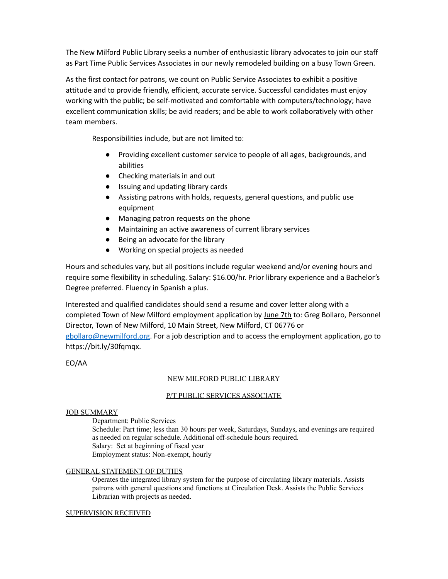The New Milford Public Library seeks a number of enthusiastic library advocates to join our staff as Part Time Public Services Associates in our newly remodeled building on a busy Town Green.

As the first contact for patrons, we count on Public Service Associates to exhibit a positive attitude and to provide friendly, efficient, accurate service. Successful candidates must enjoy working with the public; be self-motivated and comfortable with computers/technology; have excellent communication skills; be avid readers; and be able to work collaboratively with other team members.

Responsibilities include, but are not limited to:

- Providing excellent customer service to people of all ages, backgrounds, and abilities
- Checking materials in and out
- Issuing and updating library cards
- Assisting patrons with holds, requests, general questions, and public use equipment
- Managing patron requests on the phone
- Maintaining an active awareness of current library services
- Being an advocate for the library
- Working on special projects as needed

Hours and schedules vary, but all positions include regular weekend and/or evening hours and require some flexibility in scheduling. Salary: \$16.00/hr. Prior library experience and a Bachelor's Degree preferred. Fluency in Spanish a plus.

Interested and qualified candidates should send a resume and cover letter along with a completed Town of New Milford employment application by June 7th to: Greg Bollaro, Personnel Director, Town of New Milford, 10 Main Street, New Milford, CT 06776 or

[gbollaro@newmilford.org](mailto:gbollaro@newmilford.org). For a job description and to access the employment application, go to https://bit.ly/30fqmqx.

EO/AA

# NEW MILFORD PUBLIC LIBRARY

# P/T PUBLIC SERVICES ASSOCIATE

# **JOB SUMMARY**

Department: Public Services

Schedule: Part time; less than 30 hours per week, Saturdays, Sundays, and evenings are required as needed on regular schedule. Additional off-schedule hours required. Salary: Set at beginning of fiscal year Employment status: Non-exempt, hourly

# GENERAL STATEMENT OF DUTIES

Operates the integrated library system for the purpose of circulating library materials. Assists patrons with general questions and functions at Circulation Desk. Assists the Public Services Librarian with projects as needed.

# SUPERVISION RECEIVED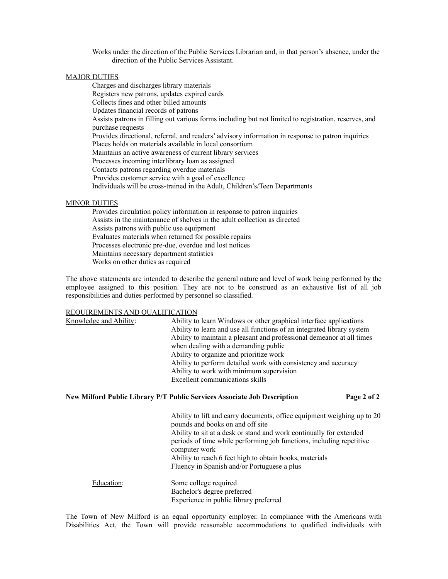Works under the direction of the Public Services Librarian and, in that person's absence, under the direction of the Public Services Assistant.

#### **MAJOR DUTIES**

Charges and discharges library materials Registers new patrons, updates expired cards Collects fines and other billed amounts Updates financial records of patrons Assists patrons in filling out various forms including but not limited to registration, reserves, and purchase requests Provides directional, referral, and readers' advisory information in response to patron inquiries Places holds on materials available in local consortium Maintains an active awareness of current library services Processes incoming interlibrary loan as assigned Contacts patrons regarding overdue materials Provides customer service with a goal of excellence Individuals will be cross-trained in the Adult, Children's/Teen Departments

#### MINOR DUTIES

Provides circulation policy information in response to patron inquiries Assists in the maintenance of shelves in the adult collection as directed Assists patrons with public use equipment Evaluates materials when returned for possible repairs Processes electronic pre-due, overdue and lost notices Maintains necessary department statistics Works on other duties as required

The above statements are intended to describe the general nature and level of work being performed by the employee assigned to this position. They are not to be construed as an exhaustive list of all job responsibilities and duties performed by personnel so classified.

#### REQUIREMENTS AND QUALIFICATION

| Knowledge and Ability: | Ability to learn Windows or other graphical interface applications     |
|------------------------|------------------------------------------------------------------------|
|                        | Ability to learn and use all functions of an integrated library system |
|                        | Ability to maintain a pleasant and professional demeanor at all times  |
|                        | when dealing with a demanding public                                   |
|                        | Ability to organize and prioritize work                                |
|                        | Ability to perform detailed work with consistency and accuracy         |
|                        | Ability to work with minimum supervision                               |
|                        | Excellent communications skills                                        |
|                        |                                                                        |

#### **New Milford Public Library P/T Public Services Associate Job Description Page 2 of 2**

Ability to lift and carry documents, office equipment weighing up to 20 pounds and books on and off site Ability to sit at a desk or stand and work continually for extended periods of time while performing job functions, including repetitive computer work Ability to reach 6 feet high to obtain books, materials Fluency in Spanish and/or Portuguese a plus Education: Some college required

Bachelor's degree preferred Experience in public library preferred

The Town of New Milford is an equal opportunity employer. In compliance with the Americans with Disabilities Act, the Town will provide reasonable accommodations to qualified individuals with